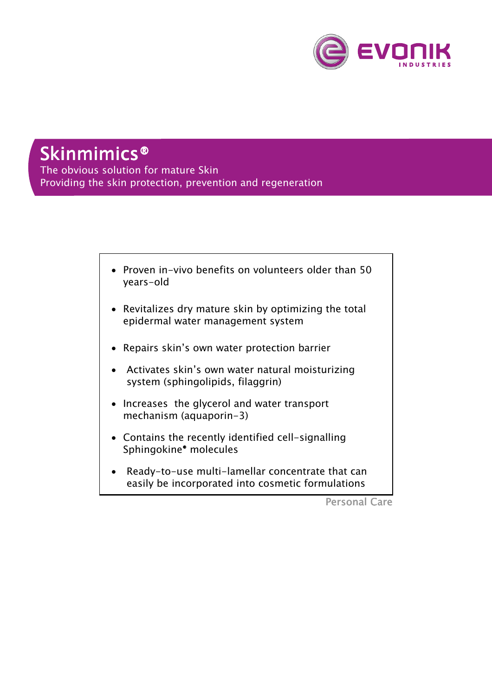

# Skinmimics®

The obvious solution for mature Skin Providing the skin protection, prevention and regeneration



Personal Care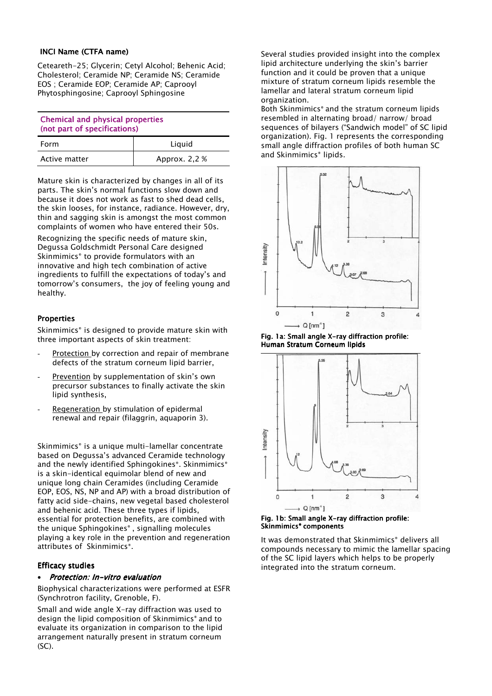#### INCI Name (CTFA name)

Ceteareth-25; Glycerin; Cetyl Alcohol; Behenic Acid; Cholesterol; Ceramide NP; Ceramide NS; Ceramide EOS ; Ceramide EOP; Ceramide AP; Caprooyl Phytosphingosine; Caprooyl Sphingosine

| <b>Chemical and physical properties</b><br>(not part of specifications) |  |  |
|-------------------------------------------------------------------------|--|--|
|                                                                         |  |  |
|                                                                         |  |  |

| Form          | Liguid        |
|---------------|---------------|
| Active matter | Approx. 2,2 % |

Mature skin is characterized by changes in all of its parts. The skin's normal functions slow down and because it does not work as fast to shed dead cells, the skin looses, for instance, radiance. However, dry, thin and sagging skin is amongst the most common complaints of women who have entered their 50s.

Recognizing the specific needs of mature skin, Degussa Goldschmidt Personal Care designed Skinmimics® to provide formulators with an innovative and high tech combination of active ingredients to fulfill the expectations of today's and tomorrow's consumers, the joy of feeling young and healthy.

# **Properties**

Skinmimics<sup>®</sup> is designed to provide mature skin with three important aspects of skin treatment:

- Protection by correction and repair of membrane defects of the stratum corneum lipid barrier,
- Prevention by supplementation of skin's own precursor substances to finally activate the skin lipid synthesis,
- Regeneration by stimulation of epidermal renewal and repair (filaggrin, aquaporin 3).

Skinmimics<sup>®</sup> is a unique multi-lamellar concentrate based on Degussa's advanced Ceramide technology and the newly identified Sphingokines®. Skinmimics® is a skin-identical equimolar blend of new and unique long chain Ceramides (including Ceramide EOP, EOS, NS, NP and AP) with a broad distribution of fatty acid side-chains, new vegetal based cholesterol and behenic acid. These three types if lipids, essential for protection benefits, are combined with the unique Sphingokines® , signalling molecules playing a key role in the prevention and regeneration attributes of Skinmimics®.

## **Efficacy studies**

## Protection: In-vitro evaluation

Biophysical characterizations were performed at ESFR (Synchrotron facility, Grenoble, F).

Small and wide angle X-ray diffraction was used to design the lipid composition of Skinmimics® and to evaluate its organization in comparison to the lipid arrangement naturally present in stratum corneum (SC).

Several studies provided insight into the complex lipid architecture underlying the skin's barrier function and it could be proven that a unique mixture of stratum corneum lipids resemble the lamellar and lateral stratum corneum lipid organization.

Both Skinmimics® and the stratum corneum lipids resembled in alternating broad/ narrow/ broad sequences of bilayers ("Sandwich model" of SC lipid organization). Fig. 1 represents the corresponding small angle diffraction profiles of both human SC and Skinmimics<sup>®</sup> lipids.



Fig. 1a: Small angle X-ray diffraction profile: Human Stratum Corneum lipids



Fig. 1b: Small angle X-ray diffraction profile: Skinmimics<sup>®</sup> components

It was demonstrated that Skinmimics® delivers all compounds necessary to mimic the lamellar spacing of the SC lipid layers which helps to be properly integrated into the stratum corneum.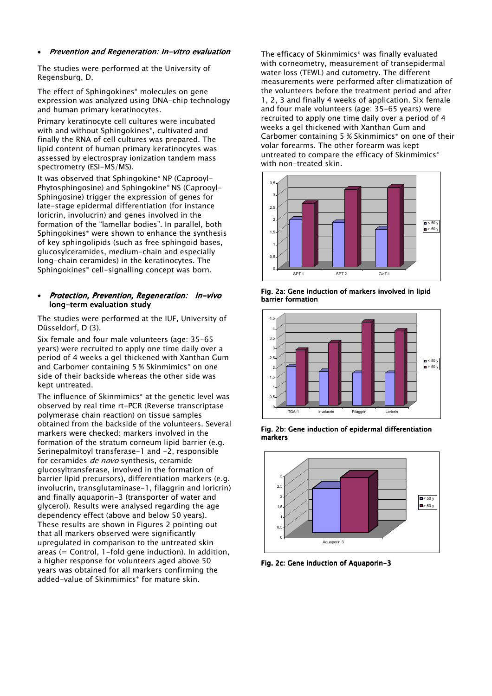#### • Prevention and Regeneration: In-vitro evaluation

The studies were performed at the University of Regensburg, D.

The effect of Sphingokines® molecules on gene expression was analyzed using DNA-chip technology and human primary keratinocytes.

Primary keratinocyte cell cultures were incubated with and without Sphingokines®, cultivated and finally the RNA of cell cultures was prepared. The lipid content of human primary keratinocytes was assessed by electrospray ionization tandem mass spectrometry (ESI-MS/MS).

It was observed that Sphingokine® NP (Caprooyl-Phytosphingosine) and Sphingokine® NS (Caprooyl-Sphingosine) trigger the expression of genes for late-stage epidermal differentiation (for instance loricrin, involucrin) and genes involved in the formation of the "lamellar bodies". In parallel, both Sphingokines® were shown to enhance the synthesis of key sphingolipids (such as free sphingoid bases, glucosylceramides, medium-chain and especially long-chain ceramides) in the keratinocytes. The Sphingokines® cell-signalling concept was born.

#### Protection, Prevention, Regeneration: In-vivo long-term evaluation study

The studies were performed at the IUF, University of Düsseldorf, D (3).

Six female and four male volunteers (age: 35-65 years) were recruited to apply one time daily over a period of 4 weeks a gel thickened with Xanthan Gum and Carbomer containing 5 % Skinmimics<sup>®</sup> on one side of their backside whereas the other side was kept untreated.

The influence of Skinmimics® at the genetic level was observed by real time rt-PCR (Reverse transcriptase polymerase chain reaction) on tissue samples obtained from the backside of the volunteers. Several markers were checked: markers involved in the formation of the stratum corneum lipid barrier (e.g. Serinepalmitoyl transferase-1 and -2, responsible for ceramides *de novo* synthesis, ceramide glucosyltransferase, involved in the formation of barrier lipid precursors), differentiation markers (e.g. involucrin, transglutaminase-1, filaggrin and loricrin) and finally aquaporin-3 (transporter of water and glycerol). Results were analysed regarding the age dependency effect (above and below 50 years). These results are shown in Figures 2 pointing out that all markers observed were significantly upregulated in comparison to the untreated skin areas  $(=$  Control, 1-fold gene induction). In addition, a higher response for volunteers aged above 50 years was obtained for all markers confirming the added-value of Skinmimics® for mature skin.

The efficacy of Skinmimics® was finally evaluated with corneometry, measurement of transepidermal water loss (TEWL) and cutometry. The different measurements were performed after climatization of the volunteers before the treatment period and after 1, 2, 3 and finally 4 weeks of application. Six female and four male volunteers (age: 35-65 years) were recruited to apply one time daily over a period of 4 weeks a gel thickened with Xanthan Gum and Carbomer containing 5 % Skinmimics® on one of their volar forearms. The other forearm was kept untreated to compare the efficacy of Skinmimics<sup>®</sup> with non-treated skin.



Fig. 2a: Gene induction of markers involved in lipid barrier formation



Fig. 2b: Gene induction of epidermal differentiation markers



Fig. 2c: Gene induction of Aquaporin-3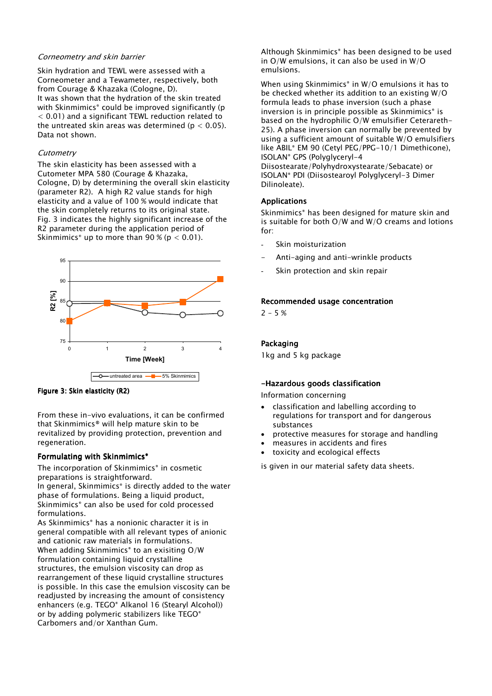## Corneometry and skin barrier

Skin hydration and TEWL were assessed with a Corneometer and a Tewameter, respectively, both from Courage & Khazaka (Cologne, D). It was shown that the hydration of the skin treated with Skinmimics<sup>®</sup> could be improved significantly (p < 0.01) and a significant TEWL reduction related to the untreated skin areas was determined ( $p < 0.05$ ). Data not shown.

# **Cutometry**

The skin elasticity has been assessed with a Cutometer MPA 580 (Courage & Khazaka, Cologne, D) by determining the overall skin elasticity (parameter R2). A high R2 value stands for high elasticity and a value of 100 % would indicate that the skin completely returns to its original state. Fig. 3 indicates the highly significant increase of the R2 parameter during the application period of Skinmimics<sup>®</sup> up to more than 90 % ( $p < 0.01$ ).



Figure 3: Skin elasticity (R2)

From these in-vivo evaluations, it can be confirmed that Skinmimics® will help mature skin to be revitalized by providing protection, prevention and regeneration.

# Formulating with Skinmimics<sup>®</sup>

The incorporation of Skinmimics® in cosmetic preparations is straightforward. In general, Skinmimics® is directly added to the water phase of formulations. Being a liquid product, Skinmimics® can also be used for cold processed formulations.

As Skinmimics® has a nonionic character it is in general compatible with all relevant types of anionic and cationic raw materials in formulations. When adding Skinmimics<sup>®</sup> to an exisiting O/W formulation containing liquid crystalline structures, the emulsion viscosity can drop as rearrangement of these liquid crystalline structures is possible. In this case the emulsion viscosity can be readjusted by increasing the amount of consistency enhancers (e.g. TEGO® Alkanol 16 (Stearyl Alcohol)) or by adding polymeric stabilizers like TEGO® Carbomers and/or Xanthan Gum.

Although Skinmimics® has been designed to be used in O/W emulsions, it can also be used in W/O emulsions.

When using Skinmimics® in W/O emulsions it has to be checked whether its addition to an existing W/O formula leads to phase inversion (such a phase inversion is in principle possible as Skinmimics® is based on the hydrophilic O/W emulsifier Ceterareth-25). A phase inversion can normally be prevented by using a sufficient amount of suitable W/O emulsifiers like ABIL® EM 90 (Cetyl PEG/PPG-10/1 Dimethicone), ISOLAN® GPS (Polyglyceryl-4

Diisostearate/Polyhydroxystearate/Sebacate) or ISOLAN® PDI (Diisostearoyl Polyglyceryl-3 Dimer Dilinoleate).

# **Applications**

Skinmimics<sup>®</sup> has been designed for mature skin and is suitable for both O/W and W/O creams and lotions for:

- Skin moisturization
- Anti-aging and anti-wrinkle products
- Skin protection and skin repair

# Recommended usage concentration

 $2 - 5 %$ 

# Packaging

1kg and 5 kg package

# -Hazardous goods classification

Information concerning

- classification and labelling according to regulations for transport and for dangerous substances
- protective measures for storage and handling
- measures in accidents and fires
- toxicity and ecological effects

is given in our material safety data sheets.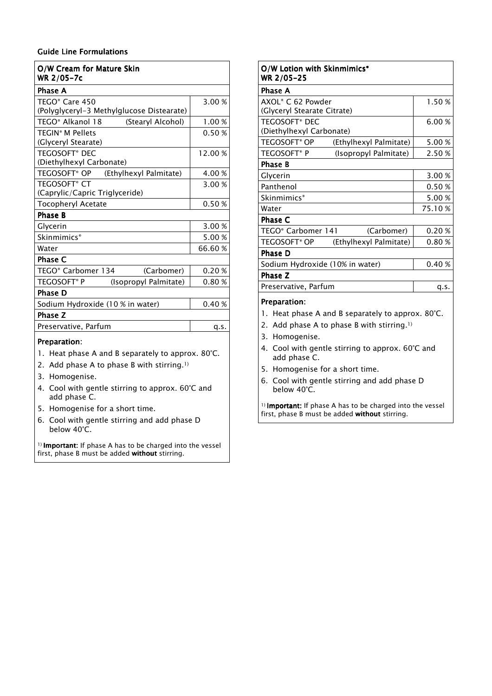# Guide Line Formulations Guide Line

| O/W Cream for Mature Skin<br>WR 2/05-7c                           |         |  |
|-------------------------------------------------------------------|---------|--|
| <b>Phase A</b>                                                    |         |  |
| TEGO <sup>®</sup> Care 450                                        | 3.00%   |  |
| (Polyglyceryl-3 Methylglucose Distearate)                         |         |  |
| TEGO <sup>®</sup> Alkanol 18<br>(Stearyl Alcohol)                 | 1.00 %  |  |
| <b>TEGIN<sup>®</sup> M Pellets</b>                                | 0.50%   |  |
| (Glyceryl Stearate)                                               |         |  |
| <b>TEGOSOFT<sup>®</sup> DEC</b>                                   | 12.00 % |  |
| (Diethylhexyl Carbonate)                                          |         |  |
| TEGOSOFT <sup>®</sup> OP<br>(Ethylhexyl Palmitate)                | 4.00 %  |  |
| <b>TEGOSOFT® CT</b>                                               | 3.00 %  |  |
| (Caprylic/Capric Triglyceride)                                    |         |  |
| <b>Tocopheryl Acetate</b>                                         | 0.50%   |  |
| <b>Phase B</b>                                                    |         |  |
| Glycerin                                                          | 3.00 %  |  |
| Skinmimics <sup>®</sup>                                           | 5.00 %  |  |
| Water                                                             | 66.60%  |  |
| <b>Phase C</b>                                                    |         |  |
| TEGO <sup>®</sup> Carbomer 134<br>(Carbomer)                      | 0.20%   |  |
| TEGOSOFT® P<br>(Isopropyl Palmitate)                              | 0.80%   |  |
| <b>Phase D</b>                                                    |         |  |
| Sodium Hydroxide (10 % in water)                                  | 0.40%   |  |
| Phase Z                                                           |         |  |
| Preservative, Parfum                                              | q.s.    |  |
| Preparation:<br>1. Heat phase A and B separately to approx. 80°C. |         |  |

- 
- 2. Add phase A to phase B with stirring.1)
- 3. Homogenise.
- 4. Cool with gentle stirring to approx. 60°C and add phase C.
- 5. Homogenise for a short time.
- 6. Cool with gentle stirring and add phase D below 40°C.

1) Important: If phase A has to be charged into the vessel first, phase B must be added without stirring.

| O/W Lotion with Skinmimics*<br>WR 2/05-25                         |                     |  |
|-------------------------------------------------------------------|---------------------|--|
| Phase A                                                           |                     |  |
| AXOL® C 62 Powder                                                 | 1.50%               |  |
| (Glyceryl Stearate Citrate)                                       |                     |  |
| <b>TEGOSOFT<sup>®</sup> DEC</b>                                   | 6.00 %              |  |
| (Diethylhexyl Carbonate)                                          |                     |  |
| TEGOSOFT <sup>®</sup> OP<br>(Ethylhexyl Palmitate)                | 5.00 %              |  |
| <b>TEGOSOFT®P</b><br>(Isopropyl Palmitate)                        | 2.50 %              |  |
| <b>Phase B</b>                                                    |                     |  |
| Glycerin                                                          | 3.00 %              |  |
| Panthenol                                                         | 0.50%               |  |
| Skinmimics <sup>®</sup>                                           | 5.00 %              |  |
| Water                                                             | 75.10%              |  |
| Phase C                                                           |                     |  |
| TEGO <sup>®</sup> Carbomer 141                                    | 0.20%<br>(Carbomer) |  |
| <b>TEGOSOFT<sup>®</sup> OP</b><br>(Ethylhexyl Palmitate)          | 0.80%               |  |
| <b>Phase D</b>                                                    |                     |  |
| Sodium Hydroxide (10% in water)                                   | 0.40%               |  |
| Phase Z                                                           |                     |  |
| Preservative, Parfum                                              | q.s.                |  |
| Preparation:<br>1. Heat phase A and B separately to approx. 80°C. |                     |  |

- 2. Add phase A to phase B with stirring.1)
- 3. Homogenise.
- 4. Cool with gentle stirring to approx. 60°C and add phase C.
- 5. Homogenise for a short time.
- 6. Cool with gentle stirring and add phase D below 40°C.

1) Important: If phase A has to be charged into the vessel first, phase B must be added without stirring.